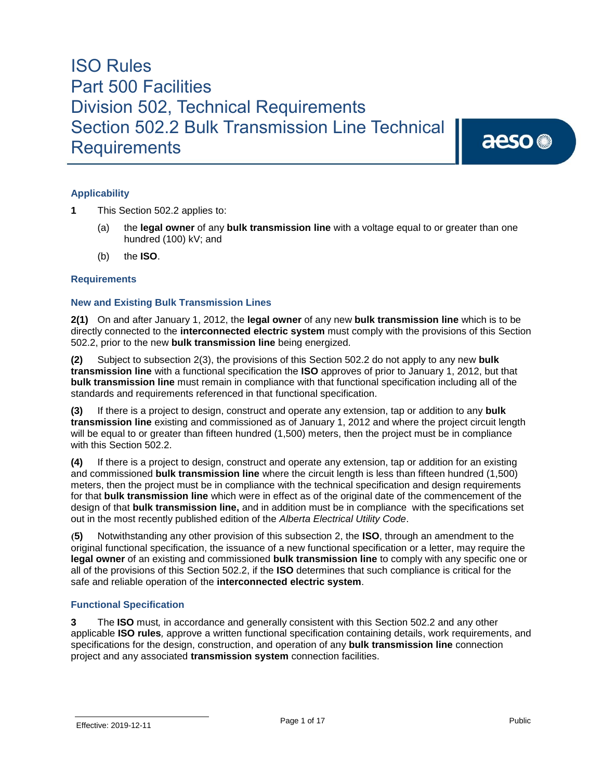aeso<sup>®</sup>

#### **Applicability**

- **1** This Section 502.2 applies to:
	- (a) the **legal owner** of any **bulk transmission line** with a voltage equal to or greater than one hundred (100) kV; and
	- (b) the **ISO**.

#### **Requirements**

#### **New and Existing Bulk Transmission Lines**

**2(1)** On and after January 1, 2012, the **legal owner** of any new **bulk transmission line** which is to be directly connected to the **interconnected electric system** must comply with the provisions of this Section 502.2, prior to the new **bulk transmission line** being energized.

**(2)** Subject to subsection 2(3), the provisions of this Section 502.2 do not apply to any new **bulk transmission line** with a functional specification the **ISO** approves of prior to January 1, 2012, but that **bulk transmission line** must remain in compliance with that functional specification including all of the standards and requirements referenced in that functional specification.

**(3)** If there is a project to design, construct and operate any extension, tap or addition to any **bulk transmission line** existing and commissioned as of January 1, 2012 and where the project circuit length will be equal to or greater than fifteen hundred (1,500) meters, then the project must be in compliance with this Section 502.2.

**(4)** If there is a project to design, construct and operate any extension, tap or addition for an existing and commissioned **bulk transmission line** where the circuit length is less than fifteen hundred (1,500) meters, then the project must be in compliance with the technical specification and design requirements for that **bulk transmission line** which were in effect as of the original date of the commencement of the design of that **bulk transmission line,** and in addition must be in compliance with the specifications set out in the most recently published edition of the *Alberta Electrical Utility Code*.

**(5)** Notwithstanding any other provision of this subsection 2, the **ISO**, through an amendment to the original functional specification, the issuance of a new functional specification or a letter, may require the **legal owner** of an existing and commissioned **bulk transmission line** to comply with any specific one or all of the provisions of this Section 502.2, if the **ISO** determines that such compliance is critical for the safe and reliable operation of the **interconnected electric system**.

#### **Functional Specification**

**3** The **ISO** must*,* in accordance and generally consistent with this Section 502.2 and any other applicable **ISO rules***,* approve a written functional specification containing details, work requirements, and specifications for the design, construction, and operation of any **bulk transmission line** connection project and any associated **transmission system** connection facilities.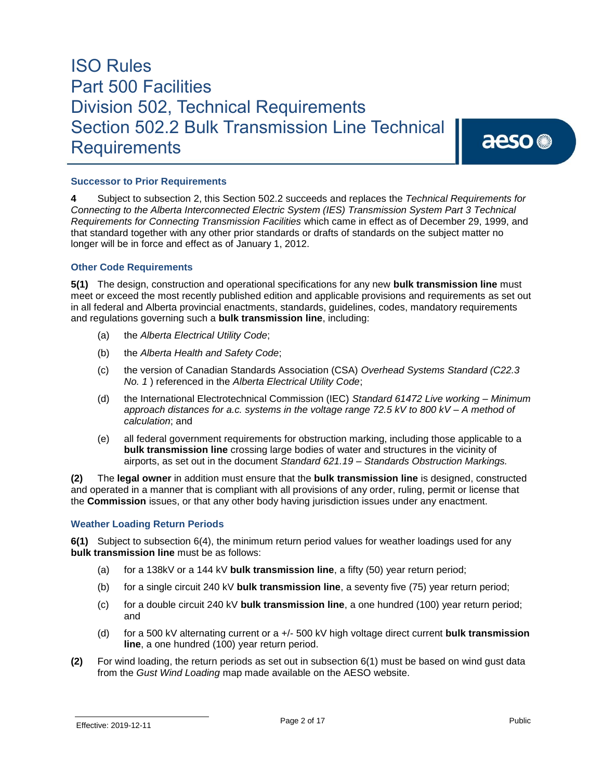aeso<sup>®</sup>

#### **Successor to Prior Requirements**

**4** Subject to subsection 2, this Section 502.2 succeeds and replaces the *Technical Requirements for Connecting to the Alberta Interconnected Electric System (IES) Transmission System Part 3 Technical Requirements for Connecting Transmission Facilities* which came in effect as of December 29, 1999, and that standard together with any other prior standards or drafts of standards on the subject matter no longer will be in force and effect as of January 1, 2012.

#### **Other Code Requirements**

**5(1)** The design, construction and operational specifications for any new **bulk transmission line** must meet or exceed the most recently published edition and applicable provisions and requirements as set out in all federal and Alberta provincial enactments, standards, guidelines, codes, mandatory requirements and regulations governing such a **bulk transmission line**, including:

- (a) the *Alberta Electrical Utility Code*;
- (b) the *Alberta Health and Safety Code*;
- (c) the version of Canadian Standards Association (CSA) *Overhead Systems Standard (C22.3 No. 1* ) referenced in the *Alberta Electrical Utility Code*;
- (d) the International Electrotechnical Commission (IEC) *Standard 61472 Live working – Minimum approach distances for a.c. systems in the voltage range 72.5 kV to 800 kV – A method of calculation*; and
- (e) all federal government requirements for obstruction marking, including those applicable to a **bulk transmission line** crossing large bodies of water and structures in the vicinity of airports, as set out in the document *Standard 621.19 – Standards Obstruction Markings.*

**(2)** The **legal owner** in addition must ensure that the **bulk transmission line** is designed, constructed and operated in a manner that is compliant with all provisions of any order, ruling, permit or license that the **Commission** issues, or that any other body having jurisdiction issues under any enactment.

#### **Weather Loading Return Periods**

**6(1)** Subject to subsection 6(4), the minimum return period values for weather loadings used for any **bulk transmission line** must be as follows:

- (a) for a 138kV or a 144 kV **bulk transmission line**, a fifty (50) year return period;
- (b) for a single circuit 240 kV **bulk transmission line**, a seventy five (75) year return period;
- (c) for a double circuit 240 kV **bulk transmission line**, a one hundred (100) year return period; and
- (d) for a 500 kV alternating current or a +/- 500 kV high voltage direct current **bulk transmission line**, a one hundred (100) year return period.
- **(2)** For wind loading, the return periods as set out in subsection 6(1) must be based on wind gust data from the *Gust Wind Loading* map made available on the AESO website.

Effective: 2019-12-11 Page 2 of 17 Page 2 of 17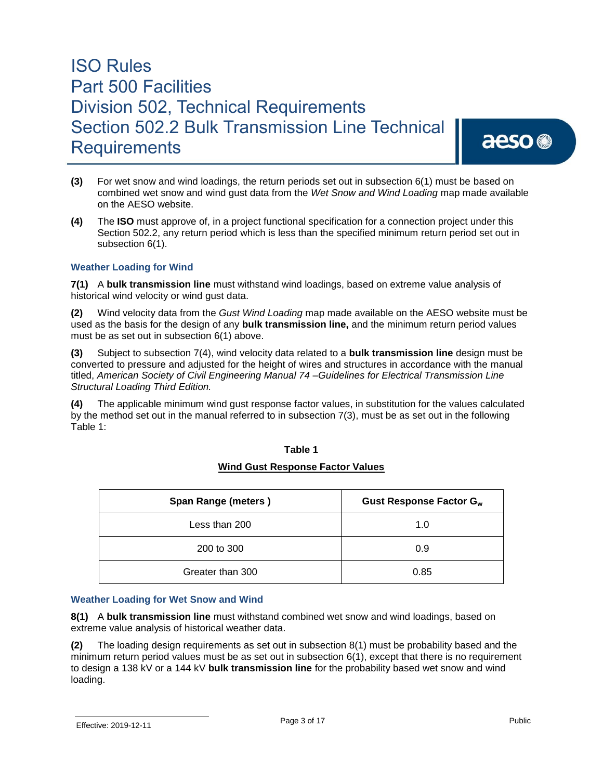aeso<sup>®</sup>

- **(3)** For wet snow and wind loadings, the return periods set out in subsection 6(1) must be based on combined wet snow and wind gust data from the *Wet Snow and Wind Loading* map made available on the AESO website.
- **(4)** The **ISO** must approve of, in a project functional specification for a connection project under this Section 502.2, any return period which is less than the specified minimum return period set out in subsection 6(1).

#### **Weather Loading for Wind**

**7(1)** A **bulk transmission line** must withstand wind loadings, based on extreme value analysis of historical wind velocity or wind gust data.

**(2)** Wind velocity data from the *Gust Wind Loading* map made available on the AESO website must be used as the basis for the design of any **bulk transmission line,** and the minimum return period values must be as set out in subsection 6(1) above.

**(3)** Subject to subsection 7(4), wind velocity data related to a **bulk transmission line** design must be converted to pressure and adjusted for the height of wires and structures in accordance with the manual titled, *American Society of Civil Engineering Manual 74 –Guidelines for Electrical Transmission Line Structural Loading Third Edition.*

**(4)** The applicable minimum wind gust response factor values, in substitution for the values calculated by the method set out in the manual referred to in subsection 7(3), must be as set out in the following Table 1:

| Span Range (meters) | Gust Response Factor G <sub>w</sub> |
|---------------------|-------------------------------------|
| Less than 200       | 1.0                                 |
| 200 to 300          | 0.9                                 |
| Greater than 300    | 0.85                                |

### **Table 1**

#### **Wind Gust Response Factor Values**

#### **Weather Loading for Wet Snow and Wind**

**8(1)** A **bulk transmission line** must withstand combined wet snow and wind loadings, based on extreme value analysis of historical weather data.

**(2)** The loading design requirements as set out in subsection 8(1) must be probability based and the minimum return period values must be as set out in subsection 6(1), except that there is no requirement to design a 138 kV or a 144 kV **bulk transmission line** for the probability based wet snow and wind loading.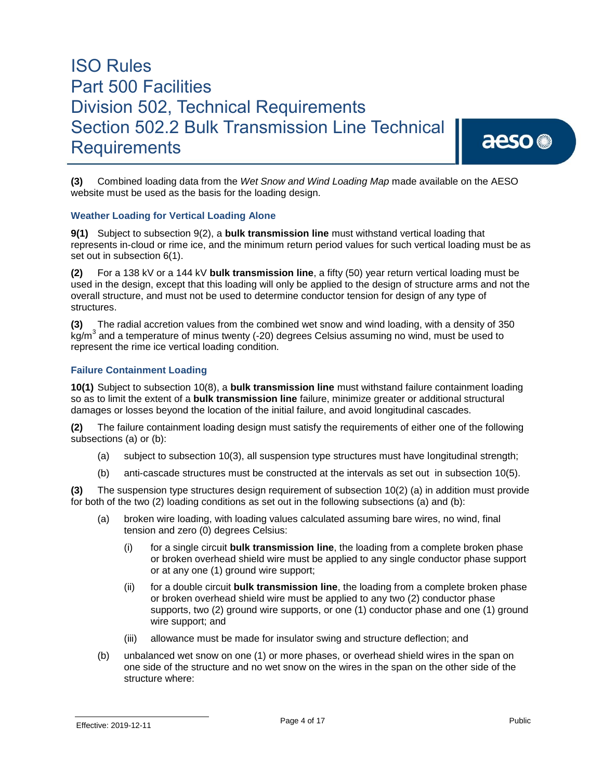## aeso<sup>®</sup>

**(3)** Combined loading data from the *Wet Snow and Wind Loading Map* made available on the AESO website must be used as the basis for the loading design.

#### **Weather Loading for Vertical Loading Alone**

**9(1)** Subject to subsection 9(2), a **bulk transmission line** must withstand vertical loading that represents in-cloud or rime ice, and the minimum return period values for such vertical loading must be as set out in subsection 6(1).

**(2)** For a 138 kV or a 144 kV **bulk transmission line**, a fifty (50) year return vertical loading must be used in the design, except that this loading will only be applied to the design of structure arms and not the overall structure, and must not be used to determine conductor tension for design of any type of structures.

**(3)** The radial accretion values from the combined wet snow and wind loading, with a density of 350 kg/m<sup>3</sup> and a temperature of minus twenty (-20) degrees Celsius assuming no wind, must be used to represent the rime ice vertical loading condition.

#### **Failure Containment Loading**

**10(1)** Subject to subsection 10(8), a **bulk transmission line** must withstand failure containment loading so as to limit the extent of a **bulk transmission line** failure, minimize greater or additional structural damages or losses beyond the location of the initial failure, and avoid longitudinal cascades.

**(2)** The failure containment loading design must satisfy the requirements of either one of the following subsections (a) or (b):

- (a) subject to subsection 10(3), all suspension type structures must have longitudinal strength;
- (b) anti-cascade structures must be constructed at the intervals as set out in subsection 10(5).

**(3)** The suspension type structures design requirement of subsection 10(2) (a) in addition must provide for both of the two (2) loading conditions as set out in the following subsections (a) and (b):

- (a) broken wire loading, with loading values calculated assuming bare wires, no wind, final tension and zero (0) degrees Celsius:
	- (i) for a single circuit **bulk transmission line**, the loading from a complete broken phase or broken overhead shield wire must be applied to any single conductor phase support or at any one (1) ground wire support;
	- (ii) for a double circuit **bulk transmission line**, the loading from a complete broken phase or broken overhead shield wire must be applied to any two (2) conductor phase supports, two (2) ground wire supports, or one (1) conductor phase and one (1) ground wire support; and
	- (iii) allowance must be made for insulator swing and structure deflection; and
- (b) unbalanced wet snow on one (1) or more phases, or overhead shield wires in the span on one side of the structure and no wet snow on the wires in the span on the other side of the structure where: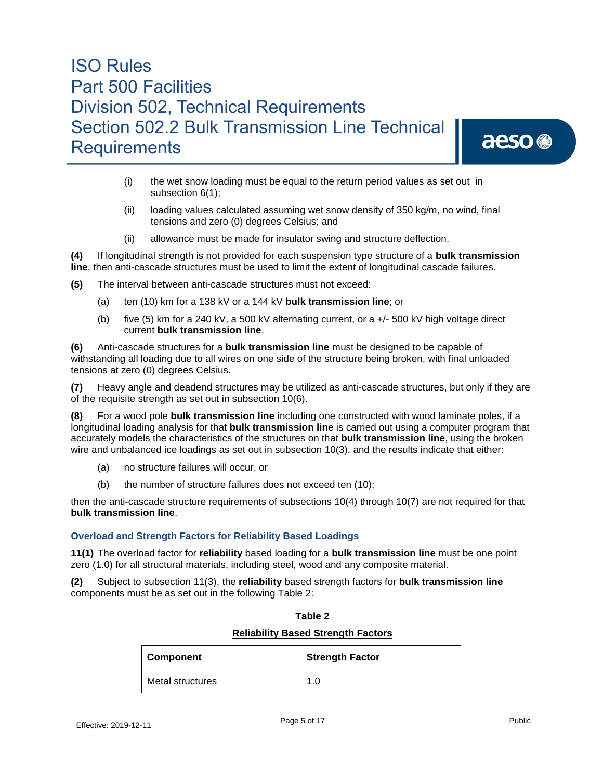## aeso<sup>®</sup>

- (i) the wet snow loading must be equal to the return period values as set out in subsection 6(1);
- (ii) loading values calculated assuming wet snow density of 350 kg/m, no wind, final tensions and zero (0) degrees Celsius; and
- (ii) allowance must be made for insulator swing and structure deflection.

**(4)** If longitudinal strength is not provided for each suspension type structure of a **bulk transmission line**, then anti-cascade structures must be used to limit the extent of longitudinal cascade failures.

- **(5)** The interval between anti-cascade structures must not exceed:
	- (a) ten (10) km for a 138 kV or a 144 kV **bulk transmission line**; or
	- (b) five (5) km for a 240 kV, a 500 kV alternating current, or a  $+/-$  500 kV high voltage direct current **bulk transmission line**.

**(6)** Anti-cascade structures for a **bulk transmission line** must be designed to be capable of withstanding all loading due to all wires on one side of the structure being broken, with final unloaded tensions at zero (0) degrees Celsius.

**(7)** Heavy angle and deadend structures may be utilized as anti-cascade structures, but only if they are of the requisite strength as set out in subsection 10(6).

**(8)** For a wood pole **bulk transmission line** including one constructed with wood laminate poles, if a longitudinal loading analysis for that **bulk transmission line** is carried out using a computer program that accurately models the characteristics of the structures on that **bulk transmission line**, using the broken wire and unbalanced ice loadings as set out in subsection 10(3), and the results indicate that either:

- (a) no structure failures will occur, or
- (b) the number of structure failures does not exceed ten (10);

then the anti-cascade structure requirements of subsections 10(4) through 10(7) are not required for that **bulk transmission line**.

#### **Overload and Strength Factors for Reliability Based Loadings**

**11(1)** The overload factor for **reliability** based loading for a **bulk transmission line** must be one point zero (1.0) for all structural materials, including steel, wood and any composite material.

**(2)** Subject to subsection 11(3), the **reliability** based strength factors for **bulk transmission line** components must be as set out in the following Table 2:

| <b>Reliability Based Strength Factors</b> |                        |
|-------------------------------------------|------------------------|
| <b>Component</b>                          | <b>Strength Factor</b> |
| Metal structures                          | 1.0                    |

#### **Table 2**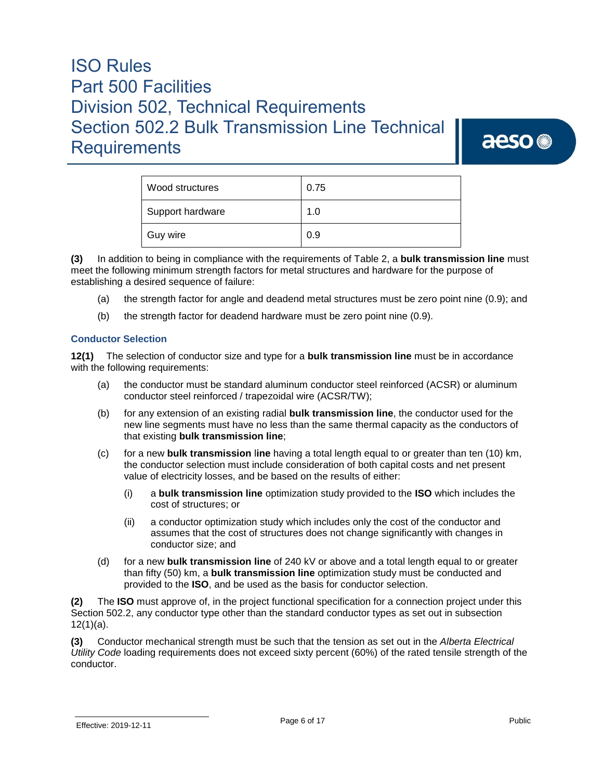aeso<sup>®</sup>

| Wood structures  | 0.75 |
|------------------|------|
| Support hardware | 1.0  |
| Guy wire         | 0.9  |

**(3)** In addition to being in compliance with the requirements of Table 2, a **bulk transmission line** must meet the following minimum strength factors for metal structures and hardware for the purpose of establishing a desired sequence of failure:

- (a) the strength factor for angle and deadend metal structures must be zero point nine (0.9); and
- (b) the strength factor for deadend hardware must be zero point nine (0.9).

#### **Conductor Selection**

**12(1)** The selection of conductor size and type for a **bulk transmission line** must be in accordance with the following requirements:

- (a) the conductor must be standard aluminum conductor steel reinforced (ACSR) or aluminum conductor steel reinforced / trapezoidal wire (ACSR/TW);
- (b) for any extension of an existing radial **bulk transmission line**, the conductor used for the new line segments must have no less than the same thermal capacity as the conductors of that existing **bulk transmission line**;
- (c) for a new **bulk transmission** l**ine** having a total length equal to or greater than ten (10) km, the conductor selection must include consideration of both capital costs and net present value of electricity losses, and be based on the results of either:
	- (i) a **bulk transmission line** optimization study provided to the **ISO** which includes the cost of structures; or
	- (ii) a conductor optimization study which includes only the cost of the conductor and assumes that the cost of structures does not change significantly with changes in conductor size; and
- (d) for a new **bulk transmission line** of 240 kV or above and a total length equal to or greater than fifty (50) km, a **bulk transmission line** optimization study must be conducted and provided to the **ISO**, and be used as the basis for conductor selection.

**(2)** The **ISO** must approve of, in the project functional specification for a connection project under this Section 502.2, any conductor type other than the standard conductor types as set out in subsection  $12(1)(a)$ .

**(3)** Conductor mechanical strength must be such that the tension as set out in the *Alberta Electrical Utility Code* loading requirements does not exceed sixty percent (60%) of the rated tensile strength of the conductor.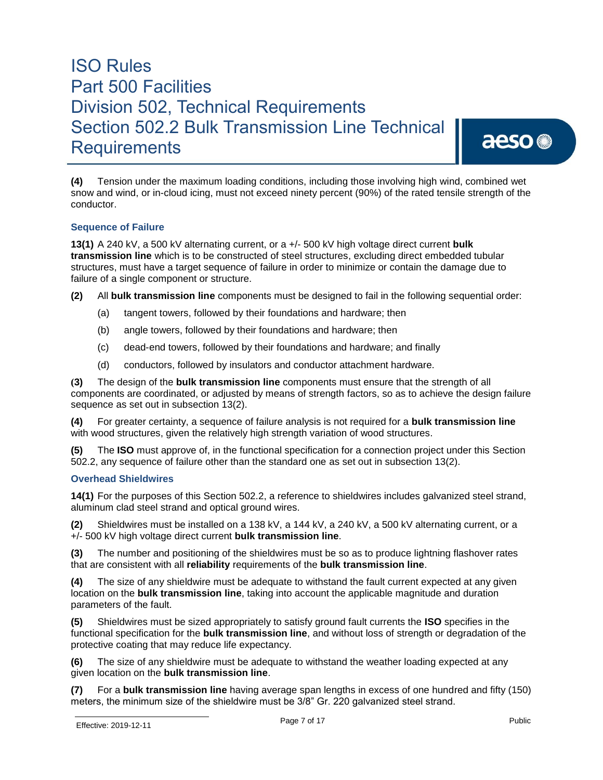aeso<sup>®</sup>

**(4)** Tension under the maximum loading conditions, including those involving high wind, combined wet snow and wind, or in-cloud icing, must not exceed ninety percent (90%) of the rated tensile strength of the conductor.

#### **Sequence of Failure**

**13(1)** A 240 kV, a 500 kV alternating current, or a +/- 500 kV high voltage direct current **bulk transmission line** which is to be constructed of steel structures, excluding direct embedded tubular structures, must have a target sequence of failure in order to minimize or contain the damage due to failure of a single component or structure.

**(2)** All **bulk transmission line** components must be designed to fail in the following sequential order:

- (a) tangent towers, followed by their foundations and hardware; then
- (b) angle towers, followed by their foundations and hardware; then
- (c) dead-end towers, followed by their foundations and hardware; and finally
- (d) conductors, followed by insulators and conductor attachment hardware.

**(3)** The design of the **bulk transmission line** components must ensure that the strength of all components are coordinated, or adjusted by means of strength factors, so as to achieve the design failure sequence as set out in subsection 13(2).

**(4)** For greater certainty, a sequence of failure analysis is not required for a **bulk transmission line** with wood structures, given the relatively high strength variation of wood structures.

**(5)** The **ISO** must approve of, in the functional specification for a connection project under this Section 502.2, any sequence of failure other than the standard one as set out in subsection 13(2).

#### **Overhead Shieldwires**

**14(1)** For the purposes of this Section 502.2, a reference to shieldwires includes galvanized steel strand, aluminum clad steel strand and optical ground wires.

**(2)** Shieldwires must be installed on a 138 kV, a 144 kV, a 240 kV, a 500 kV alternating current, or a +/- 500 kV high voltage direct current **bulk transmission line**.

**(3)** The number and positioning of the shieldwires must be so as to produce lightning flashover rates that are consistent with all **reliability** requirements of the **bulk transmission line**.

**(4)** The size of any shieldwire must be adequate to withstand the fault current expected at any given location on the **bulk transmission line**, taking into account the applicable magnitude and duration parameters of the fault.

**(5)** Shieldwires must be sized appropriately to satisfy ground fault currents the **ISO** specifies in the functional specification for the **bulk transmission line**, and without loss of strength or degradation of the protective coating that may reduce life expectancy.

**(6)** The size of any shieldwire must be adequate to withstand the weather loading expected at any given location on the **bulk transmission line**.

**(7)** For a **bulk transmission line** having average span lengths in excess of one hundred and fifty (150) meters, the minimum size of the shieldwire must be 3/8" Gr. 220 galvanized steel strand.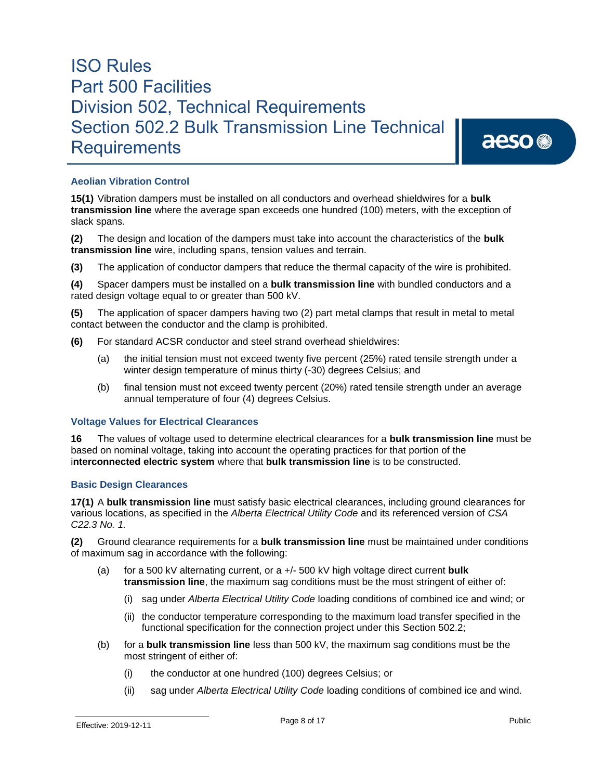aeso<sup>®</sup>

#### **Aeolian Vibration Control**

**15(1)** Vibration dampers must be installed on all conductors and overhead shieldwires for a **bulk transmission line** where the average span exceeds one hundred (100) meters, with the exception of slack spans.

**(2)** The design and location of the dampers must take into account the characteristics of the **bulk transmission line** wire, including spans, tension values and terrain.

**(3)** The application of conductor dampers that reduce the thermal capacity of the wire is prohibited.

**(4)** Spacer dampers must be installed on a **bulk transmission line** with bundled conductors and a rated design voltage equal to or greater than 500 kV.

**(5)** The application of spacer dampers having two (2) part metal clamps that result in metal to metal contact between the conductor and the clamp is prohibited.

- **(6)** For standard ACSR conductor and steel strand overhead shieldwires:
	- (a) the initial tension must not exceed twenty five percent (25%) rated tensile strength under a winter design temperature of minus thirty (-30) degrees Celsius; and
	- (b) final tension must not exceed twenty percent (20%) rated tensile strength under an average annual temperature of four (4) degrees Celsius.

#### **Voltage Values for Electrical Clearances**

**16** The values of voltage used to determine electrical clearances for a **bulk transmission line** must be based on nominal voltage, taking into account the operating practices for that portion of the i**nterconnected electric system** where that **bulk transmission line** is to be constructed.

#### **Basic Design Clearances**

**17(1)** A **bulk transmission line** must satisfy basic electrical clearances, including ground clearances for various locations, as specified in the *Alberta Electrical Utility Code* and its referenced version of *CSA C22.3 No. 1.*

**(2)** Ground clearance requirements for a **bulk transmission line** must be maintained under conditions of maximum sag in accordance with the following:

- (a) for a 500 kV alternating current, or a +/- 500 kV high voltage direct current **bulk transmission line**, the maximum sag conditions must be the most stringent of either of:
	- (i) sag under *Alberta Electrical Utility Code* loading conditions of combined ice and wind; or
	- (ii) the conductor temperature corresponding to the maximum load transfer specified in the functional specification for the connection project under this Section 502.2;
- (b) for a **bulk transmission line** less than 500 kV, the maximum sag conditions must be the most stringent of either of:
	- (i) the conductor at one hundred (100) degrees Celsius; or
	- (ii) sag under *Alberta Electrical Utility Code* loading conditions of combined ice and wind.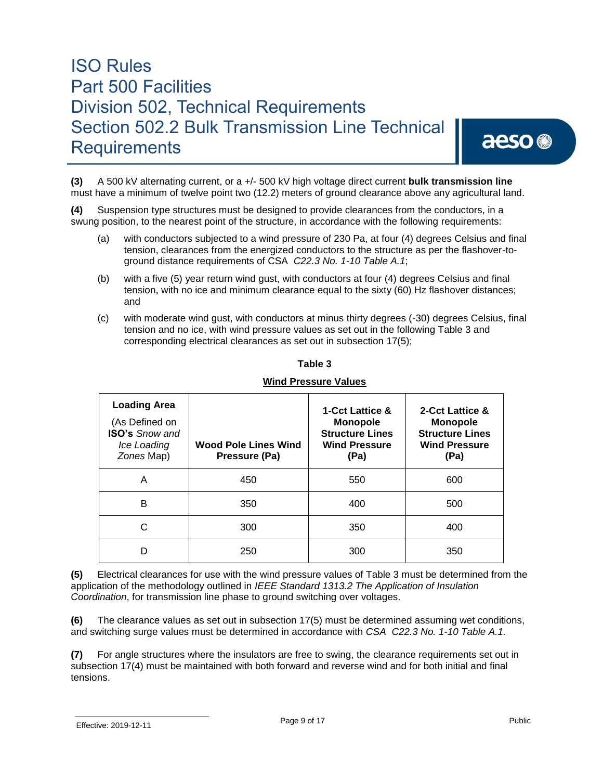## aeso<sup>®</sup>

**(3)** A 500 kV alternating current, or a +/- 500 kV high voltage direct current **bulk transmission line** must have a minimum of twelve point two (12.2) meters of ground clearance above any agricultural land.

**(4)** Suspension type structures must be designed to provide clearances from the conductors, in a swung position, to the nearest point of the structure, in accordance with the following requirements:

- (a) with conductors subjected to a wind pressure of 230 Pa, at four (4) degrees Celsius and final tension, clearances from the energized conductors to the structure as per the flashover-toground distance requirements of CSA *C22.3 No. 1-10 Table A.1*;
- (b) with a five (5) year return wind gust, with conductors at four (4) degrees Celsius and final tension, with no ice and minimum clearance equal to the sixty (60) Hz flashover distances; and
- (c) with moderate wind gust, with conductors at minus thirty degrees (-30) degrees Celsius, final tension and no ice, with wind pressure values as set out in the following Table 3 and corresponding electrical clearances as set out in subsection 17(5);

| <b>Loading Area</b><br>(As Defined on<br><b>ISO's Snow and</b><br>Ice Loading<br>Zones Map) | <b>Wood Pole Lines Wind</b><br>Pressure (Pa) | <b>1-Cct Lattice &amp;</b><br><b>Monopole</b><br><b>Structure Lines</b><br><b>Wind Pressure</b><br>(Pa) | 2-Cct Lattice &<br><b>Monopole</b><br><b>Structure Lines</b><br><b>Wind Pressure</b><br>(Pa) |
|---------------------------------------------------------------------------------------------|----------------------------------------------|---------------------------------------------------------------------------------------------------------|----------------------------------------------------------------------------------------------|
| A                                                                                           | 450                                          | 550                                                                                                     | 600                                                                                          |
| В                                                                                           | 350                                          | 400                                                                                                     | 500                                                                                          |
| C                                                                                           | 300                                          | 350                                                                                                     | 400                                                                                          |
| n                                                                                           | 250                                          | 300                                                                                                     | 350                                                                                          |

#### **Table 3**

#### **Wind Pressure Values**

**(5)** Electrical clearances for use with the wind pressure values of Table 3 must be determined from the application of the methodology outlined in *IEEE Standard 1313.2 The Application of Insulation Coordination*, for transmission line phase to ground switching over voltages.

**(6)** The clearance values as set out in subsection 17(5) must be determined assuming wet conditions, and switching surge values must be determined in accordance with *CSA C22.3 No. 1-10 Table A.1.*

**(7)** For angle structures where the insulators are free to swing, the clearance requirements set out in subsection 17(4) must be maintained with both forward and reverse wind and for both initial and final tensions.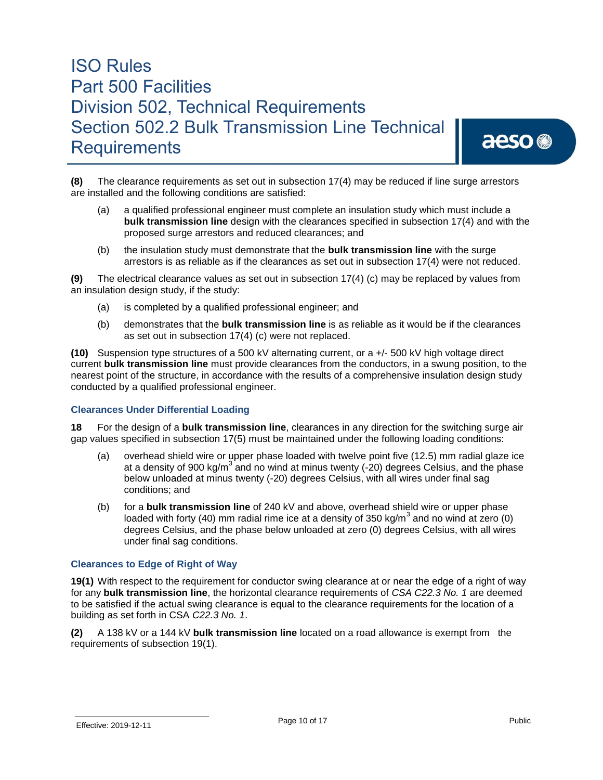## aeso<sup>®</sup>

**(8)** The clearance requirements as set out in subsection 17(4) may be reduced if line surge arrestors are installed and the following conditions are satisfied:

- (a) a qualified professional engineer must complete an insulation study which must include a **bulk transmission line** design with the clearances specified in subsection 17(4) and with the proposed surge arrestors and reduced clearances; and
- (b) the insulation study must demonstrate that the **bulk transmission line** with the surge arrestors is as reliable as if the clearances as set out in subsection 17(4) were not reduced.

**(9)** The electrical clearance values as set out in subsection 17(4) (c) may be replaced by values from an insulation design study, if the study:

- (a) is completed by a qualified professional engineer; and
- (b) demonstrates that the **bulk transmission line** is as reliable as it would be if the clearances as set out in subsection 17(4) (c) were not replaced.

**(10)** Suspension type structures of a 500 kV alternating current, or a +/- 500 kV high voltage direct current **bulk transmission line** must provide clearances from the conductors, in a swung position, to the nearest point of the structure, in accordance with the results of a comprehensive insulation design study conducted by a qualified professional engineer.

#### **Clearances Under Differential Loading**

**18** For the design of a **bulk transmission line**, clearances in any direction for the switching surge air gap values specified in subsection 17(5) must be maintained under the following loading conditions:

- (a) overhead shield wire or upper phase loaded with twelve point five (12.5) mm radial glaze ice at a density of 900 kg/m<sup>3</sup> and no wind at minus twenty (-20) degrees Celsius, and the phase below unloaded at minus twenty (-20) degrees Celsius, with all wires under final sag conditions; and
- (b) for a **bulk transmission line** of 240 kV and above, overhead shield wire or upper phase loaded with forty (40) mm radial rime ice at a density of 350 kg/m<sup>3</sup> and no wind at zero (0) degrees Celsius, and the phase below unloaded at zero (0) degrees Celsius, with all wires under final sag conditions.

#### **Clearances to Edge of Right of Way**

**19(1)** With respect to the requirement for conductor swing clearance at or near the edge of a right of way for any **bulk transmission line**, the horizontal clearance requirements of *CSA C22.3 No. 1* are deemed to be satisfied if the actual swing clearance is equal to the clearance requirements for the location of a building as set forth in CSA *C22.3 No. 1*.

**(2)** A 138 kV or a 144 kV **bulk transmission line** located on a road allowance is exempt from the requirements of subsection 19(1).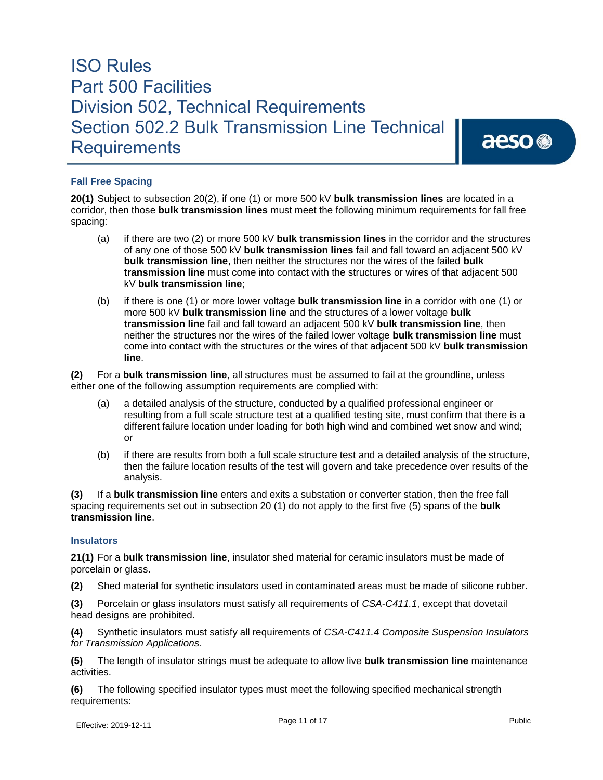aeso<sup>®</sup>

#### **Fall Free Spacing**

**20(1)** Subject to subsection 20(2), if one (1) or more 500 kV **bulk transmission lines** are located in a corridor, then those **bulk transmission lines** must meet the following minimum requirements for fall free spacing:

- (a) if there are two (2) or more 500 kV **bulk transmission lines** in the corridor and the structures of any one of those 500 kV **bulk transmission lines** fail and fall toward an adjacent 500 kV **bulk transmission line**, then neither the structures nor the wires of the failed **bulk transmission line** must come into contact with the structures or wires of that adjacent 500 kV **bulk transmission line**;
- (b) if there is one (1) or more lower voltage **bulk transmission line** in a corridor with one (1) or more 500 kV **bulk transmission line** and the structures of a lower voltage **bulk transmission line** fail and fall toward an adjacent 500 kV **bulk transmission line**, then neither the structures nor the wires of the failed lower voltage **bulk transmission line** must come into contact with the structures or the wires of that adjacent 500 kV **bulk transmission line**.

**(2)** For a **bulk transmission line**, all structures must be assumed to fail at the groundline, unless either one of the following assumption requirements are complied with:

- (a) a detailed analysis of the structure, conducted by a qualified professional engineer or resulting from a full scale structure test at a qualified testing site, must confirm that there is a different failure location under loading for both high wind and combined wet snow and wind; or
- (b) if there are results from both a full scale structure test and a detailed analysis of the structure, then the failure location results of the test will govern and take precedence over results of the analysis.

**(3)** If a **bulk transmission line** enters and exits a substation or converter station, then the free fall spacing requirements set out in subsection 20 (1) do not apply to the first five (5) spans of the **bulk transmission line**.

#### **Insulators**

**21(1)** For a **bulk transmission line**, insulator shed material for ceramic insulators must be made of porcelain or glass.

**(2)** Shed material for synthetic insulators used in contaminated areas must be made of silicone rubber.

**(3)** Porcelain or glass insulators must satisfy all requirements of *CSA-C411.1*, except that dovetail head designs are prohibited.

**(4)** Synthetic insulators must satisfy all requirements of *CSA-C411.4 Composite Suspension Insulators for Transmission Applications*.

**(5)** The length of insulator strings must be adequate to allow live **bulk transmission line** maintenance activities.

**(6)** The following specified insulator types must meet the following specified mechanical strength requirements: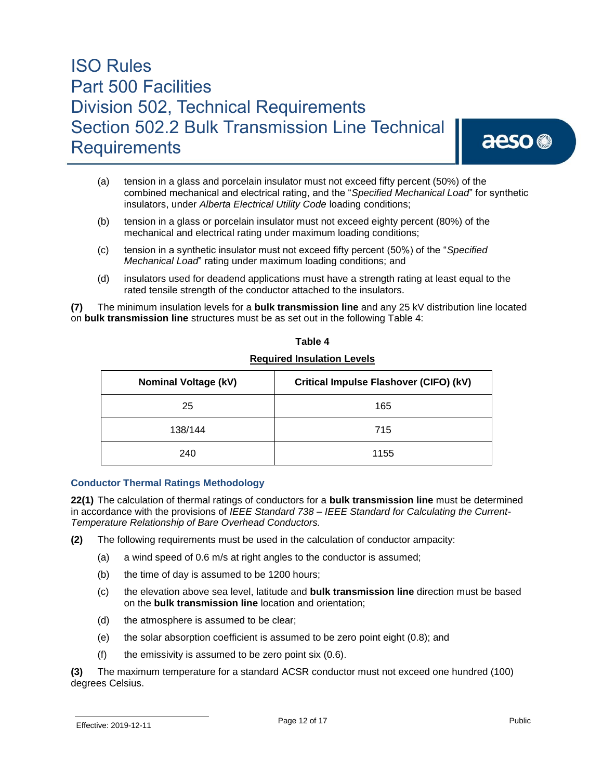## aeso<sup>®</sup>

- (a) tension in a glass and porcelain insulator must not exceed fifty percent (50%) of the combined mechanical and electrical rating, and the "*Specified Mechanical Load*" for synthetic insulators, under *Alberta Electrical Utility Code* loading conditions;
- (b) tension in a glass or porcelain insulator must not exceed eighty percent (80%) of the mechanical and electrical rating under maximum loading conditions;
- (c) tension in a synthetic insulator must not exceed fifty percent (50%) of the "*Specified Mechanical Load*" rating under maximum loading conditions; and
- (d) insulators used for deadend applications must have a strength rating at least equal to the rated tensile strength of the conductor attached to the insulators.

**(7)** The minimum insulation levels for a **bulk transmission line** and any 25 kV distribution line located on **bulk transmission line** structures must be as set out in the following Table 4:

| <b>Nominal Voltage (kV)</b> | Critical Impulse Flashover (CIFO) (kV) |
|-----------------------------|----------------------------------------|
| 25                          | 165                                    |
| 138/144                     | 715                                    |
| 240                         | 1155                                   |

#### **Table 4**

#### **Required Insulation Levels**

#### **Conductor Thermal Ratings Methodology**

**22(1)** The calculation of thermal ratings of conductors for a **bulk transmission line** must be determined in accordance with the provisions of *IEEE Standard 738 – IEEE Standard for Calculating the Current-Temperature Relationship of Bare Overhead Conductors.*

- **(2)** The following requirements must be used in the calculation of conductor ampacity:
	- (a) a wind speed of 0.6 m/s at right angles to the conductor is assumed;
	- (b) the time of day is assumed to be 1200 hours;
	- (c) the elevation above sea level, latitude and **bulk transmission line** direction must be based on the **bulk transmission line** location and orientation;
	- (d) the atmosphere is assumed to be clear;
	- (e) the solar absorption coefficient is assumed to be zero point eight (0.8); and
	- (f) the emissivity is assumed to be zero point six  $(0.6)$ .

**(3)** The maximum temperature for a standard ACSR conductor must not exceed one hundred (100) degrees Celsius.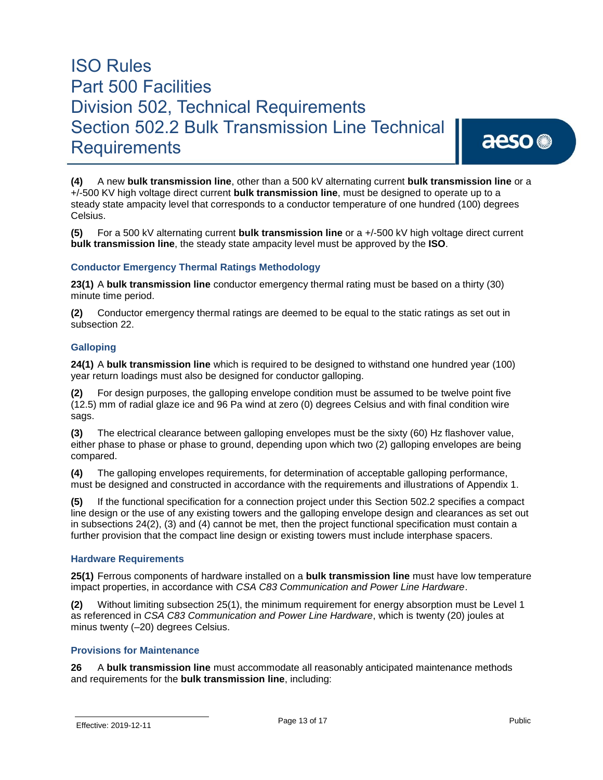aeso<sup>®</sup>

**(4)** A new **bulk transmission line**, other than a 500 kV alternating current **bulk transmission line** or a +/-500 KV high voltage direct current **bulk transmission line**, must be designed to operate up to a steady state ampacity level that corresponds to a conductor temperature of one hundred (100) degrees Celsius.

**(5)** For a 500 kV alternating current **bulk transmission line** or a +/-500 kV high voltage direct current **bulk transmission line**, the steady state ampacity level must be approved by the **ISO**.

#### **Conductor Emergency Thermal Ratings Methodology**

**23(1)** A **bulk transmission line** conductor emergency thermal rating must be based on a thirty (30) minute time period.

**(2)** Conductor emergency thermal ratings are deemed to be equal to the static ratings as set out in subsection 22.

#### **Galloping**

**24(1)** A **bulk transmission line** which is required to be designed to withstand one hundred year (100) year return loadings must also be designed for conductor galloping.

**(2)** For design purposes, the galloping envelope condition must be assumed to be twelve point five (12.5) mm of radial glaze ice and 96 Pa wind at zero (0) degrees Celsius and with final condition wire sags.

**(3)** The electrical clearance between galloping envelopes must be the sixty (60) Hz flashover value, either phase to phase or phase to ground, depending upon which two (2) galloping envelopes are being compared.

**(4)** The galloping envelopes requirements, for determination of acceptable galloping performance, must be designed and constructed in accordance with the requirements and illustrations of Appendix 1.

**(5)** If the functional specification for a connection project under this Section 502.2 specifies a compact line design or the use of any existing towers and the galloping envelope design and clearances as set out in subsections 24(2), (3) and (4) cannot be met, then the project functional specification must contain a further provision that the compact line design or existing towers must include interphase spacers.

#### **Hardware Requirements**

**25(1)** Ferrous components of hardware installed on a **bulk transmission line** must have low temperature impact properties, in accordance with *CSA C83 Communication and Power Line Hardware*.

**(2)** Without limiting subsection 25(1), the minimum requirement for energy absorption must be Level 1 as referenced in *CSA C83 Communication and Power Line Hardware*, which is twenty (20) joules at minus twenty (–20) degrees Celsius.

#### **Provisions for Maintenance**

**26** A **bulk transmission line** must accommodate all reasonably anticipated maintenance methods and requirements for the **bulk transmission line**, including: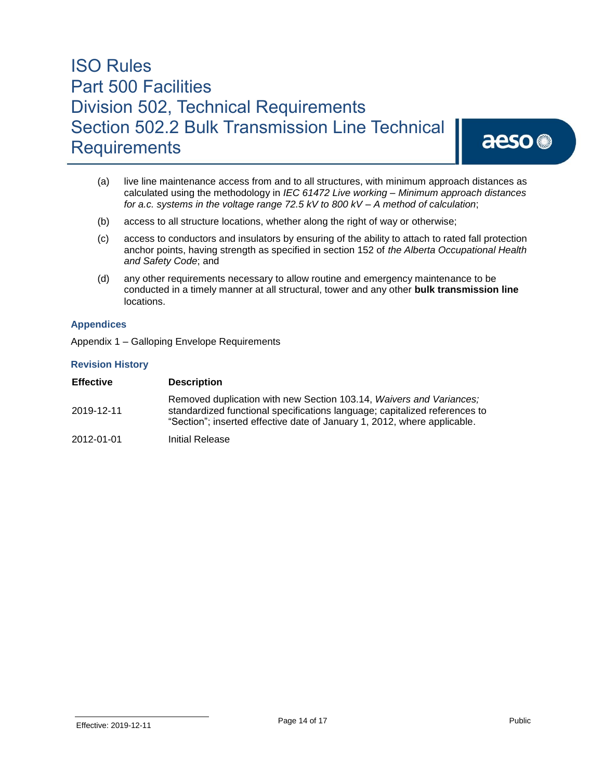aeso<sup>®</sup>

- (a) live line maintenance access from and to all structures, with minimum approach distances as calculated using the methodology in *IEC 61472 Live working – Minimum approach distances for a.c. systems in the voltage range 72.5 kV to 800 kV – A method of calculation*;
- (b) access to all structure locations, whether along the right of way or otherwise;
- (c) access to conductors and insulators by ensuring of the ability to attach to rated fall protection anchor points, having strength as specified in section 152 of *the Alberta Occupational Health and Safety Code*; and
- (d) any other requirements necessary to allow routine and emergency maintenance to be conducted in a timely manner at all structural, tower and any other **bulk transmission line** locations.

#### **Appendices**

Appendix 1 – Galloping Envelope Requirements

#### **Revision History**

| <b>Effective</b> | <b>Description</b>                                                                                                                                                                                                            |
|------------------|-------------------------------------------------------------------------------------------------------------------------------------------------------------------------------------------------------------------------------|
| 2019-12-11       | Removed duplication with new Section 103.14, Waivers and Variances;<br>standardized functional specifications language; capitalized references to<br>"Section"; inserted effective date of January 1, 2012, where applicable. |
| 2012-01-01       | Initial Release                                                                                                                                                                                                               |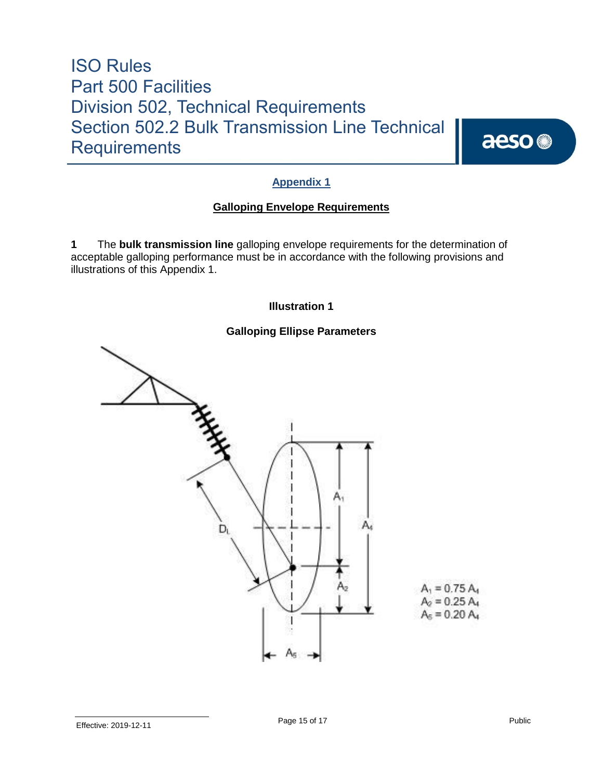aeso<sup>®</sup>

#### **Appendix 1**

#### **Galloping Envelope Requirements**

**1** The **bulk transmission line** galloping envelope requirements for the determination of acceptable galloping performance must be in accordance with the following provisions and illustrations of this Appendix 1.

#### **Illustration 1**

#### **Galloping Ellipse Parameters**

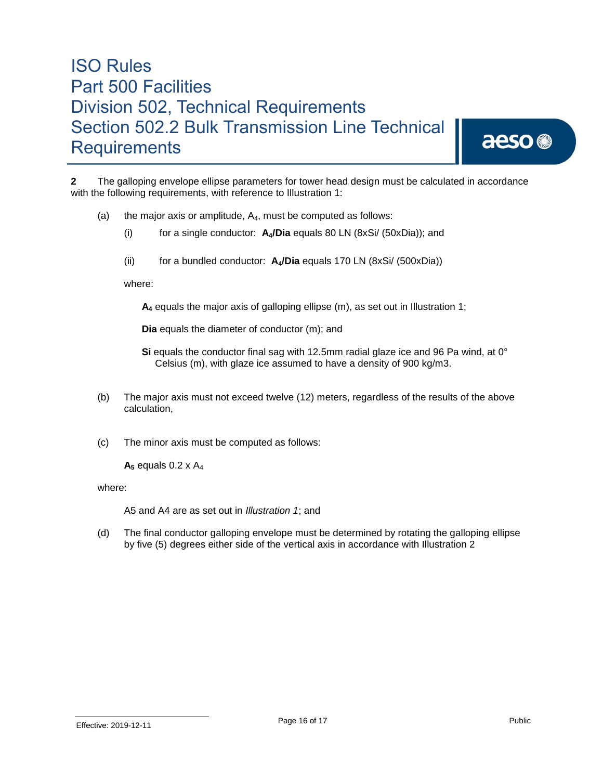aeso<sup>®</sup>

**2** The galloping envelope ellipse parameters for tower head design must be calculated in accordance with the following requirements, with reference to Illustration 1:

- (a) the major axis or amplitude,  $A_4$ , must be computed as follows:
	- (i) for a single conductor: **A4/Dia** equals 80 LN (8xSi/ (50xDia)); and
	- (ii) for a bundled conductor: **A4/Dia** equals 170 LN (8xSi/ (500xDia))

where:

**A<sup>4</sup>** equals the major axis of galloping ellipse (m), as set out in Illustration 1;

**Dia** equals the diameter of conductor (m); and

Si equals the conductor final sag with 12.5mm radial glaze ice and 96 Pa wind, at 0° Celsius (m), with glaze ice assumed to have a density of 900 kg/m3.

- (b) The major axis must not exceed twelve (12) meters, regardless of the results of the above calculation,
- (c) The minor axis must be computed as follows:

 $A_5$  equals 0.2 x  $A_4$ 

where:

A5 and A4 are as set out in *Illustration 1*; and

(d) The final conductor galloping envelope must be determined by rotating the galloping ellipse by five (5) degrees either side of the vertical axis in accordance with Illustration 2